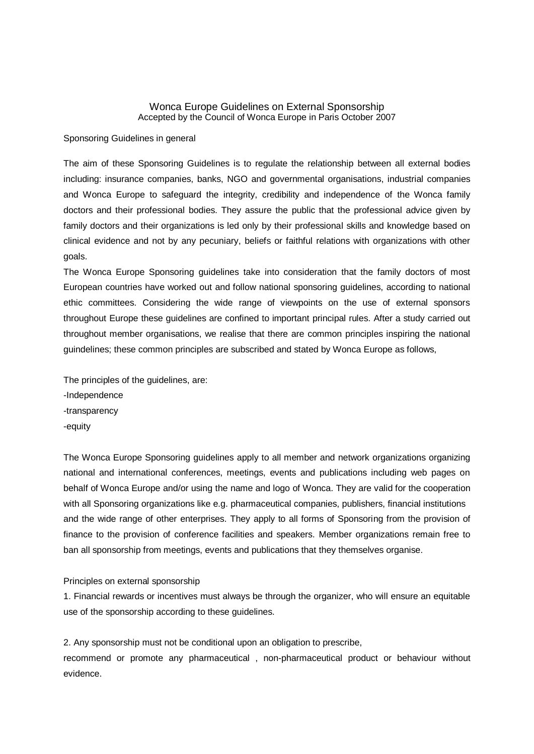## Wonca Europe Guidelines on External Sponsorship Accepted by the Council of Wonca Europe in Paris October 2007

Sponsoring Guidelines in general

The aim of these Sponsoring Guidelines is to regulate the relationship between all external bodies including: insurance companies, banks, NGO and governmental organisations, industrial companies and Wonca Europe to safeguard the integrity, credibility and independence of the Wonca family doctors and their professional bodies. They assure the public that the professional advice given by family doctors and their organizations is led only by their professional skills and knowledge based on clinical evidence and not by any pecuniary, beliefs or faithful relations with organizations with other goals.

The Wonca Europe Sponsoring guidelines take into consideration that the family doctors of most European countries have worked out and follow national sponsoring guidelines, according to national ethic committees. Considering the wide range of viewpoints on the use of external sponsors throughout Europe these guidelines are confined to important principal rules. After a study carried out throughout member organisations, we realise that there are common principles inspiring the national guindelines; these common principles are subscribed and stated by Wonca Europe as follows,

The principles of the guidelines, are: -Independence -transparency -equity

The Wonca Europe Sponsoring guidelines apply to all member and network organizations organizing national and international conferences, meetings, events and publications including web pages on behalf of Wonca Europe and/or using the name and logo of Wonca. They are valid for the cooperation with all Sponsoring organizations like e.g. pharmaceutical companies, publishers, financial institutions and the wide range of other enterprises. They apply to all forms of Sponsoring from the provision of finance to the provision of conference facilities and speakers. Member organizations remain free to ban all sponsorship from meetings, events and publications that they themselves organise.

Principles on external sponsorship

1. Financial rewards or incentives must always be through the organizer, who will ensure an equitable use of the sponsorship according to these guidelines.

2. Any sponsorship must not be conditional upon an obligation to prescribe, recommend or promote any pharmaceutical , non-pharmaceutical product or behaviour without evidence.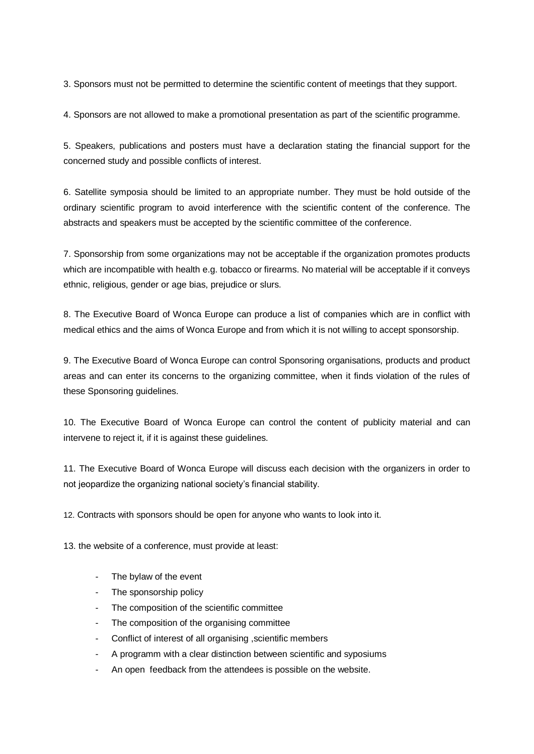3. Sponsors must not be permitted to determine the scientific content of meetings that they support.

4. Sponsors are not allowed to make a promotional presentation as part of the scientific programme.

5. Speakers, publications and posters must have a declaration stating the financial support for the concerned study and possible conflicts of interest.

6. Satellite symposia should be limited to an appropriate number. They must be hold outside of the ordinary scientific program to avoid interference with the scientific content of the conference. The abstracts and speakers must be accepted by the scientific committee of the conference.

7. Sponsorship from some organizations may not be acceptable if the organization promotes products which are incompatible with health e.g. tobacco or firearms. No material will be acceptable if it conveys ethnic, religious, gender or age bias, prejudice or slurs.

8. The Executive Board of Wonca Europe can produce a list of companies which are in conflict with medical ethics and the aims of Wonca Europe and from which it is not willing to accept sponsorship.

9. The Executive Board of Wonca Europe can control Sponsoring organisations, products and product areas and can enter its concerns to the organizing committee, when it finds violation of the rules of these Sponsoring guidelines.

10. The Executive Board of Wonca Europe can control the content of publicity material and can intervene to reject it, if it is against these guidelines.

11. The Executive Board of Wonca Europe will discuss each decision with the organizers in order to not jeopardize the organizing national society's financial stability.

12. Contracts with sponsors should be open for anyone who wants to look into it.

13. the website of a conference, must provide at least:

- The bylaw of the event
- The sponsorship policy
- The composition of the scientific committee
- The composition of the organising committee
- Conflict of interest of all organising , scientific members
- A programm with a clear distinction between scientific and syposiums
- An open feedback from the attendees is possible on the website.